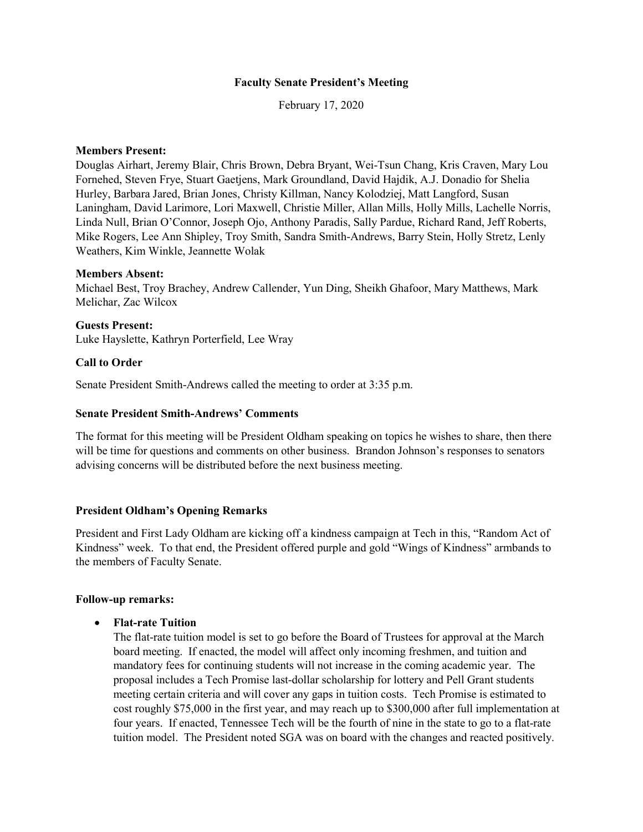### **Faculty Senate President's Meeting**

February 17, 2020

### **Members Present:**

Douglas Airhart, Jeremy Blair, Chris Brown, Debra Bryant, Wei-Tsun Chang, Kris Craven, Mary Lou Fornehed, Steven Frye, Stuart Gaetjens, Mark Groundland, David Hajdik, A.J. Donadio for Shelia Hurley, Barbara Jared, Brian Jones, Christy Killman, Nancy Kolodziej, Matt Langford, Susan Laningham, David Larimore, Lori Maxwell, Christie Miller, Allan Mills, Holly Mills, Lachelle Norris, Linda Null, Brian O'Connor, Joseph Ojo, Anthony Paradis, Sally Pardue, Richard Rand, Jeff Roberts, Mike Rogers, Lee Ann Shipley, Troy Smith, Sandra Smith-Andrews, Barry Stein, Holly Stretz, Lenly Weathers, Kim Winkle, Jeannette Wolak

#### **Members Absent:**

Michael Best, Troy Brachey, Andrew Callender, Yun Ding, Sheikh Ghafoor, Mary Matthews, Mark Melichar, Zac Wilcox

**Guests Present:** Luke Hayslette, Kathryn Porterfield, Lee Wray

### **Call to Order**

Senate President Smith-Andrews called the meeting to order at 3:35 p.m.

#### **Senate President Smith-Andrews' Comments**

The format for this meeting will be President Oldham speaking on topics he wishes to share, then there will be time for questions and comments on other business. Brandon Johnson's responses to senators advising concerns will be distributed before the next business meeting.

#### **President Oldham's Opening Remarks**

President and First Lady Oldham are kicking off a kindness campaign at Tech in this, "Random Act of Kindness" week. To that end, the President offered purple and gold "Wings of Kindness" armbands to the members of Faculty Senate.

#### **Follow-up remarks:**

#### • **Flat-rate Tuition**

The flat-rate tuition model is set to go before the Board of Trustees for approval at the March board meeting. If enacted, the model will affect only incoming freshmen, and tuition and mandatory fees for continuing students will not increase in the coming academic year. The proposal includes a Tech Promise last-dollar scholarship for lottery and Pell Grant students meeting certain criteria and will cover any gaps in tuition costs. Tech Promise is estimated to cost roughly \$75,000 in the first year, and may reach up to \$300,000 after full implementation at four years. If enacted, Tennessee Tech will be the fourth of nine in the state to go to a flat-rate tuition model. The President noted SGA was on board with the changes and reacted positively.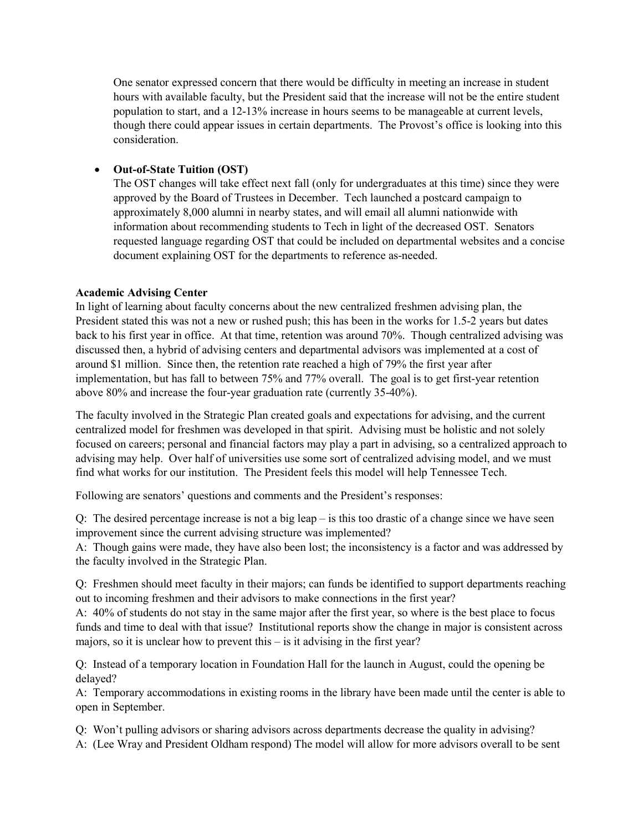One senator expressed concern that there would be difficulty in meeting an increase in student hours with available faculty, but the President said that the increase will not be the entire student population to start, and a 12-13% increase in hours seems to be manageable at current levels, though there could appear issues in certain departments. The Provost's office is looking into this consideration.

## • **Out-of-State Tuition (OST)**

The OST changes will take effect next fall (only for undergraduates at this time) since they were approved by the Board of Trustees in December. Tech launched a postcard campaign to approximately 8,000 alumni in nearby states, and will email all alumni nationwide with information about recommending students to Tech in light of the decreased OST. Senators requested language regarding OST that could be included on departmental websites and a concise document explaining OST for the departments to reference as-needed.

### **Academic Advising Center**

In light of learning about faculty concerns about the new centralized freshmen advising plan, the President stated this was not a new or rushed push; this has been in the works for 1.5-2 years but dates back to his first year in office. At that time, retention was around 70%. Though centralized advising was discussed then, a hybrid of advising centers and departmental advisors was implemented at a cost of around \$1 million. Since then, the retention rate reached a high of 79% the first year after implementation, but has fall to between 75% and 77% overall. The goal is to get first-year retention above 80% and increase the four-year graduation rate (currently 35-40%).

The faculty involved in the Strategic Plan created goals and expectations for advising, and the current centralized model for freshmen was developed in that spirit. Advising must be holistic and not solely focused on careers; personal and financial factors may play a part in advising, so a centralized approach to advising may help. Over half of universities use some sort of centralized advising model, and we must find what works for our institution. The President feels this model will help Tennessee Tech.

Following are senators' questions and comments and the President's responses:

Q: The desired percentage increase is not a big leap – is this too drastic of a change since we have seen improvement since the current advising structure was implemented?

A: Though gains were made, they have also been lost; the inconsistency is a factor and was addressed by the faculty involved in the Strategic Plan.

Q: Freshmen should meet faculty in their majors; can funds be identified to support departments reaching out to incoming freshmen and their advisors to make connections in the first year?

A: 40% of students do not stay in the same major after the first year, so where is the best place to focus funds and time to deal with that issue? Institutional reports show the change in major is consistent across majors, so it is unclear how to prevent this – is it advising in the first year?

Q: Instead of a temporary location in Foundation Hall for the launch in August, could the opening be delayed?

A: Temporary accommodations in existing rooms in the library have been made until the center is able to open in September.

Q: Won't pulling advisors or sharing advisors across departments decrease the quality in advising?

A: (Lee Wray and President Oldham respond) The model will allow for more advisors overall to be sent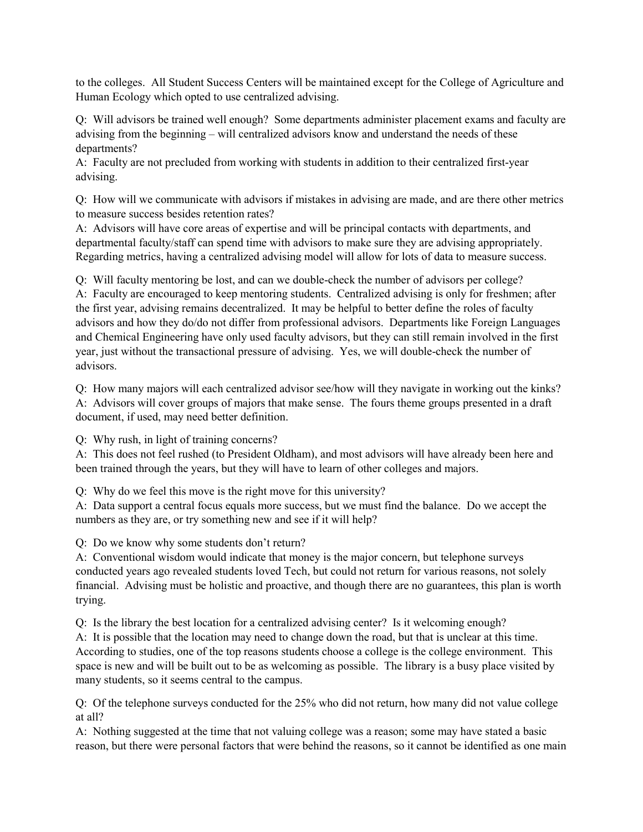to the colleges. All Student Success Centers will be maintained except for the College of Agriculture and Human Ecology which opted to use centralized advising.

Q: Will advisors be trained well enough? Some departments administer placement exams and faculty are advising from the beginning – will centralized advisors know and understand the needs of these departments?

A: Faculty are not precluded from working with students in addition to their centralized first-year advising.

Q: How will we communicate with advisors if mistakes in advising are made, and are there other metrics to measure success besides retention rates?

A: Advisors will have core areas of expertise and will be principal contacts with departments, and departmental faculty/staff can spend time with advisors to make sure they are advising appropriately. Regarding metrics, having a centralized advising model will allow for lots of data to measure success.

Q: Will faculty mentoring be lost, and can we double-check the number of advisors per college? A: Faculty are encouraged to keep mentoring students. Centralized advising is only for freshmen; after the first year, advising remains decentralized. It may be helpful to better define the roles of faculty advisors and how they do/do not differ from professional advisors. Departments like Foreign Languages and Chemical Engineering have only used faculty advisors, but they can still remain involved in the first year, just without the transactional pressure of advising. Yes, we will double-check the number of advisors.

Q: How many majors will each centralized advisor see/how will they navigate in working out the kinks? A: Advisors will cover groups of majors that make sense. The fours theme groups presented in a draft document, if used, may need better definition.

Q: Why rush, in light of training concerns?

A: This does not feel rushed (to President Oldham), and most advisors will have already been here and been trained through the years, but they will have to learn of other colleges and majors.

Q: Why do we feel this move is the right move for this university?

A: Data support a central focus equals more success, but we must find the balance. Do we accept the numbers as they are, or try something new and see if it will help?

Q: Do we know why some students don't return?

A: Conventional wisdom would indicate that money is the major concern, but telephone surveys conducted years ago revealed students loved Tech, but could not return for various reasons, not solely financial. Advising must be holistic and proactive, and though there are no guarantees, this plan is worth trying.

Q: Is the library the best location for a centralized advising center? Is it welcoming enough?

A: It is possible that the location may need to change down the road, but that is unclear at this time. According to studies, one of the top reasons students choose a college is the college environment. This space is new and will be built out to be as welcoming as possible. The library is a busy place visited by many students, so it seems central to the campus.

Q: Of the telephone surveys conducted for the 25% who did not return, how many did not value college at all?

A: Nothing suggested at the time that not valuing college was a reason; some may have stated a basic reason, but there were personal factors that were behind the reasons, so it cannot be identified as one main